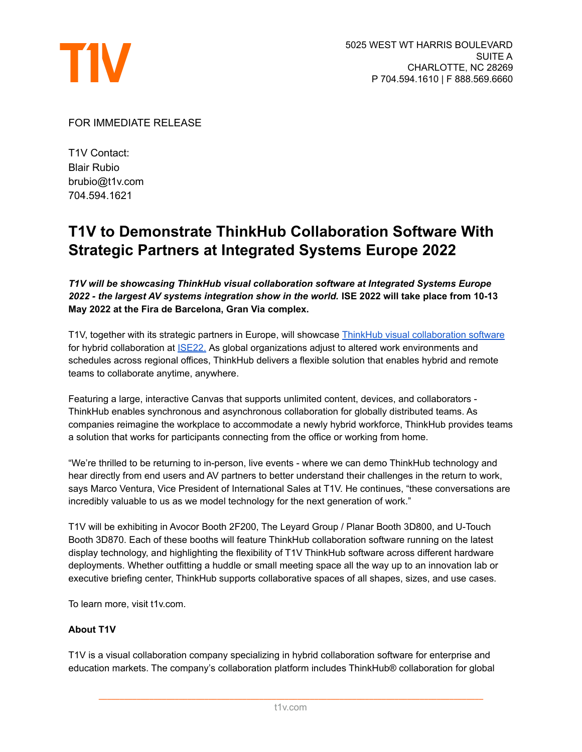

## FOR IMMEDIATE RELEASE

T1V Contact: Blair Rubio brubio@t1v.com 704.594.1621

# **T1V to Demonstrate ThinkHub Collaboration Software With Strategic Partners at Integrated Systems Europe 2022**

*T1V will be showcasing ThinkHub visual collaboration software at Integrated Systems Europe 2022 - the largest AV systems integration show in the world.* **ISE 2022 will take place from 10-13 May 2022 at the Fira de Barcelona, Gran Via complex.**

T1V, together with its strategic partners in Europe, will showcase ThinkHub visual [collaboration](https://www.t1v.com/thinkhub) software for hybrid collaboration at [ISE22.](https://www.iseurope.org/) As global organizations adjust to altered work environments and schedules across regional offices, ThinkHub delivers a flexible solution that enables hybrid and remote teams to collaborate anytime, anywhere.

Featuring a large, interactive Canvas that supports unlimited content, devices, and collaborators - ThinkHub enables synchronous and asynchronous collaboration for globally distributed teams. As companies reimagine the workplace to accommodate a newly hybrid workforce, ThinkHub provides teams a solution that works for participants connecting from the office or working from home.

"We're thrilled to be returning to in-person, live events - where we can demo ThinkHub technology and hear directly from end users and AV partners to better understand their challenges in the return to work, says Marco Ventura, Vice President of International Sales at T1V. He continues, "these conversations are incredibly valuable to us as we model technology for the next generation of work."

T1V will be exhibiting in Avocor Booth 2F200, The Leyard Group / Planar Booth 3D800, and U-Touch Booth 3D870. Each of these booths will feature ThinkHub collaboration software running on the latest display technology, and highlighting the flexibility of T1V ThinkHub software across different hardware deployments. Whether outfitting a huddle or small meeting space all the way up to an innovation lab or executive briefing center, ThinkHub supports collaborative spaces of all shapes, sizes, and use cases.

To learn more, visit t1v.com.

## **About T1V**

T1V is a visual collaboration company specializing in hybrid collaboration software for enterprise and education markets. The company's collaboration platform includes ThinkHub® collaboration for global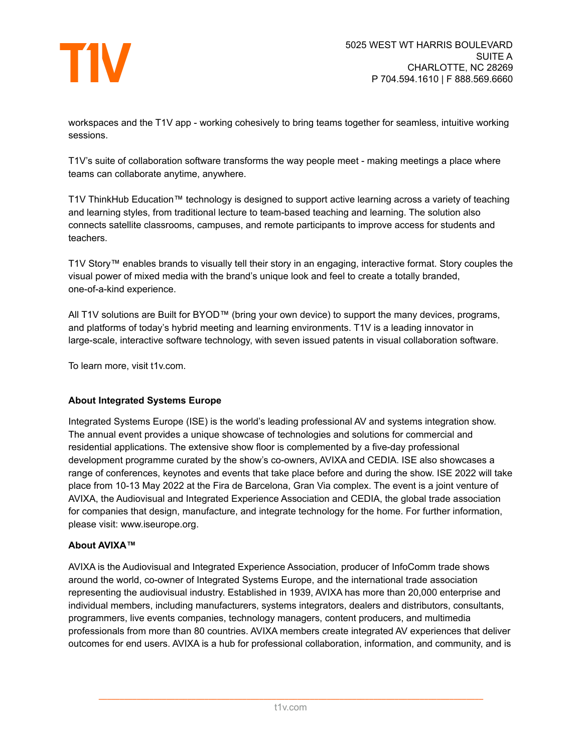

workspaces and the T1V app - working cohesively to bring teams together for seamless, intuitive working sessions.

T1V's suite of collaboration software transforms the way people meet - making meetings a place where teams can collaborate anytime, anywhere.

T1V ThinkHub Education™ technology is designed to support active learning across a variety of teaching and learning styles, from traditional lecture to team-based teaching and learning. The solution also connects satellite classrooms, campuses, and remote participants to improve access for students and teachers.

T1V Story™ enables brands to visually tell their story in an engaging, interactive format. Story couples the visual power of mixed media with the brand's unique look and feel to create a totally branded, one-of-a-kind experience.

All T1V solutions are Built for BYOD™ (bring your own device) to support the many devices, programs, and platforms of today's hybrid meeting and learning environments. T1V is a leading innovator in large-scale, interactive software technology, with seven issued patents in visual collaboration software.

To learn more, visit t1v.com.

### **About Integrated Systems Europe**

Integrated Systems Europe (ISE) is the world's leading professional AV and systems integration show. The annual event provides a unique showcase of technologies and solutions for commercial and residential applications. The extensive show floor is complemented by a five-day professional development programme curated by the show's co-owners, AVIXA and CEDIA. ISE also showcases a range of conferences, keynotes and events that take place before and during the show. ISE 2022 will take place from 10-13 May 2022 at the Fira de Barcelona, Gran Via complex. The event is a joint venture of AVIXA, the Audiovisual and Integrated Experience Association and CEDIA, the global trade association for companies that design, manufacture, and integrate technology for the home. For further information, please visit: www.iseurope.org.

### **About AVIXA™**

AVIXA is the Audiovisual and Integrated Experience Association, producer of InfoComm trade shows around the world, co-owner of Integrated Systems Europe, and the international trade association representing the audiovisual industry. Established in 1939, AVIXA has more than 20,000 enterprise and individual members, including manufacturers, systems integrators, dealers and distributors, consultants, programmers, live events companies, technology managers, content producers, and multimedia professionals from more than 80 countries. AVIXA members create integrated AV experiences that deliver outcomes for end users. AVIXA is a hub for professional collaboration, information, and community, and is